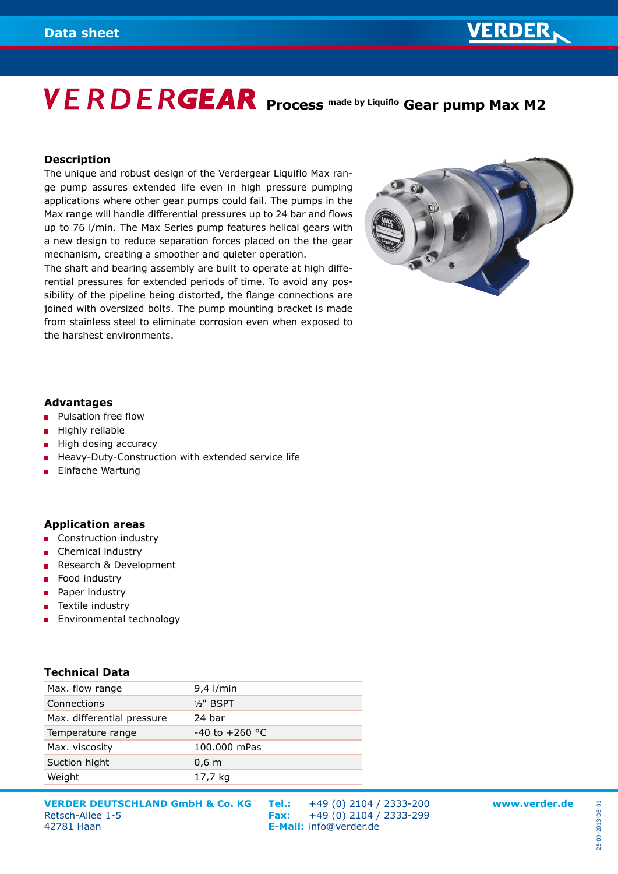### **VERDER**

# **VERDERGEAR** Process made by Liquiflo Gear pump Max M2

#### **Description**

The unique and robust design of the Verdergear Liquiflo Max range pump assures extended life even in high pressure pumping applications where other gear pumps could fail. The pumps in the Max range will handle differential pressures up to 24 bar and flows up to 76 l/min. The Max Series pump features helical gears with a new design to reduce separation forces placed on the the gear mechanism, creating a smoother and quieter operation.

The shaft and bearing assembly are built to operate at high differential pressures for extended periods of time. To avoid any possibility of the pipeline being distorted, the flange connections are joined with oversized bolts. The pump mounting bracket is made from stainless steel to eliminate corrosion even when exposed to the harshest environments.



#### **Advantages**

- Pulsation free flow  $\mathbf{r}$
- **Highly reliable**
- $\blacksquare$  High dosing accuracy
- Heavy-Duty-Construction with extended service life
- **Einfache Wartung**

#### **Application areas**

- **Construction industry**
- Chemical industry
- Research & Development
- **Food industry**
- **Paper industry**
- Textile industry
- **Environmental technology**

#### **Technical Data**

| Max. flow range            | $9,4$ l/min        |
|----------------------------|--------------------|
| Connections                | $1/2$ " BSPT       |
| Max. differential pressure | 24 bar             |
| Temperature range          | $-40$ to $+260$ °C |
| Max. viscosity             | 100,000 mPas       |
| Suction hight              | 0.6 <sub>m</sub>   |
| Weight                     | 17,7 kg            |
|                            |                    |

**VERDER DEUTSCHLAND GmbH & Co. KG Tel.:** +49 (0) 2104 / 2333-200 **www.verder.de VERDER DEUTSCHLAND GmbH & Co. KG**<br>Retsch-Allee 1-5<br>47781 Haan<br>**F-Mail:** info@verder.de

42781 Haan **E-Mail:** info@verder.de